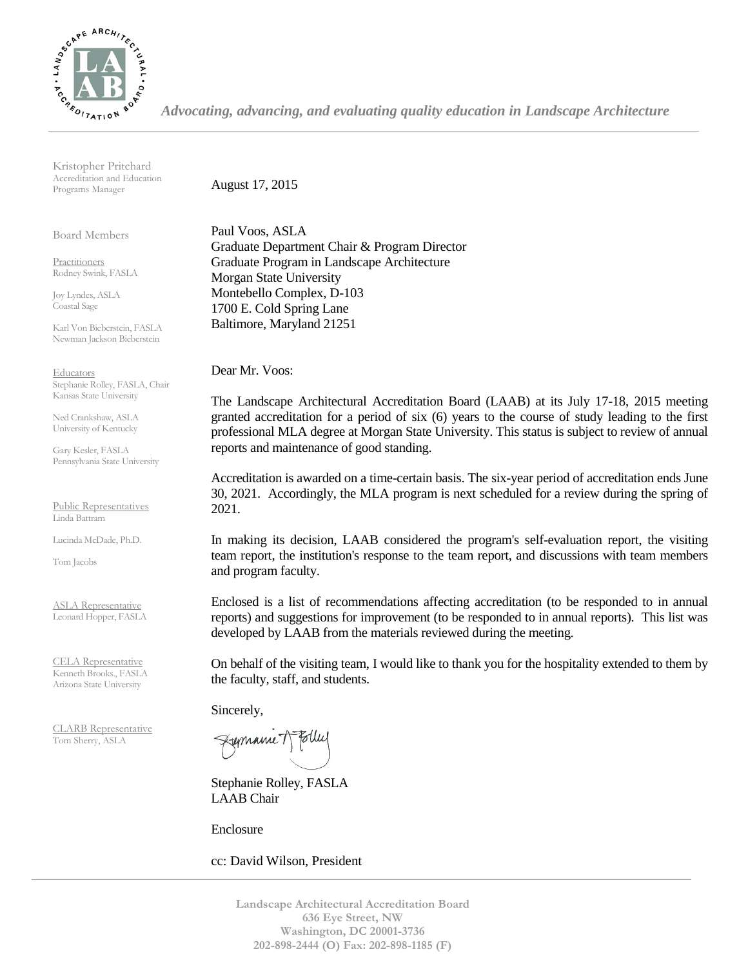

*Advocating, advancing, and evaluating quality education in Landscape Architecture*

Kristopher Pritchard Accreditation and Education Programs Manager

Board Members

Practitioners Rodney Swink, FASLA

Joy Lyndes, ASLA Coastal Sage

Karl Von Bieberstein, FASLA Newman Jackson Bieberstein

**Educators** Stephanie Rolley, FASLA, Chair Kansas State University

Ned Crankshaw, ASLA University of Kentucky

Gary Kesler, FASLA Pennsylvania State University

Public Representatives Linda Battram

Lucinda McDade, Ph.D.

Tom Jacobs

ASLA Representative Leonard Hopper, FASLA

CELA Representative Kenneth Brooks., FASLA Arizona State University

CLARB Representative Tom Sherry, ASLA

August 17, 2015

Paul Voos, ASLA Graduate Department Chair & Program Director Graduate Program in Landscape Architecture Morgan State University Montebello Complex, D-103 1700 E. Cold Spring Lane Baltimore, Maryland 21251

Dear Mr. Voos:

The Landscape Architectural Accreditation Board (LAAB) at its July 17-18, 2015 meeting granted accreditation for a period of six (6) years to the course of study leading to the first professional MLA degree at Morgan State University. This status is subject to review of annual reports and maintenance of good standing.

Accreditation is awarded on a time-certain basis. The six-year period of accreditation ends June 30, 2021. Accordingly, the MLA program is next scheduled for a review during the spring of 2021.

In making its decision, LAAB considered the program's self-evaluation report, the visiting team report, the institution's response to the team report, and discussions with team members and program faculty.

Enclosed is a list of recommendations affecting accreditation (to be responded to in annual reports) and suggestions for improvement (to be responded to in annual reports). This list was developed by LAAB from the materials reviewed during the meeting.

On behalf of the visiting team, I would like to thank you for the hospitality extended to them by the faculty, staff, and students.

Sincerely,

Fymanne T

Stephanie Rolley, FASLA LAAB Chair

Enclosure

cc: David Wilson, President